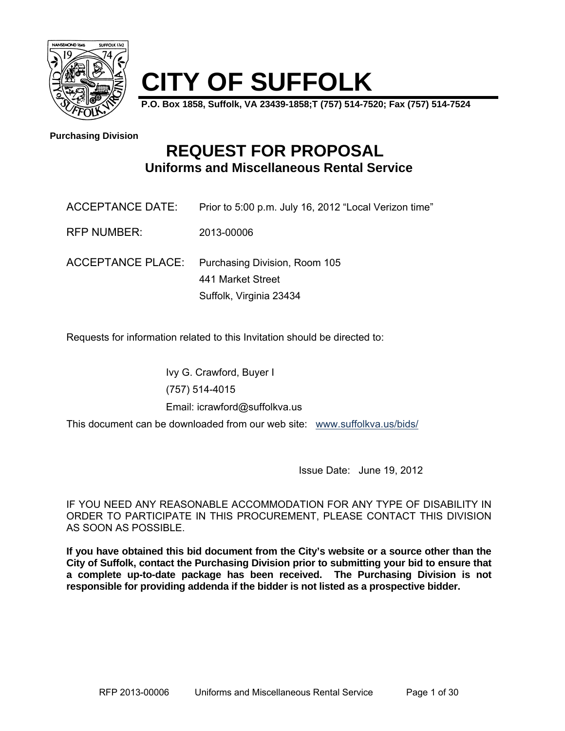

# **CITY OF SUFFOLK**

**P.O. Box 1858, Suffolk, VA 23439-1858;T (757) 514-7520; Fax (757) 514-7524** 

**Purchasing Division**

## **REQUEST FOR PROPOSAL Uniforms and Miscellaneous Rental Service**

| ACCEPTANCE DATE:   | Prior to 5:00 p.m. July 16, 2012 "Local Verizon time" |  |
|--------------------|-------------------------------------------------------|--|
| <b>RFP NUMBER:</b> | 2013-00006                                            |  |
|                    | ACCEPTANCE PLACE: Purchasing Division, Room 105       |  |
|                    | 441 Market Street                                     |  |
|                    | Suffolk, Virginia 23434                               |  |

Requests for information related to this Invitation should be directed to:

Ivy G. Crawford, Buyer I (757) 514-4015 Email: icrawford@suffolkva.us

This document can be downloaded from our web site: www.suffolkva.us/bids/

Issue Date: June 19, 2012

IF YOU NEED ANY REASONABLE ACCOMMODATION FOR ANY TYPE OF DISABILITY IN ORDER TO PARTICIPATE IN THIS PROCUREMENT, PLEASE CONTACT THIS DIVISION AS SOON AS POSSIBLE.

**If you have obtained this bid document from the City's website or a source other than the City of Suffolk, contact the Purchasing Division prior to submitting your bid to ensure that a complete up-to-date package has been received. The Purchasing Division is not responsible for providing addenda if the bidder is not listed as a prospective bidder.**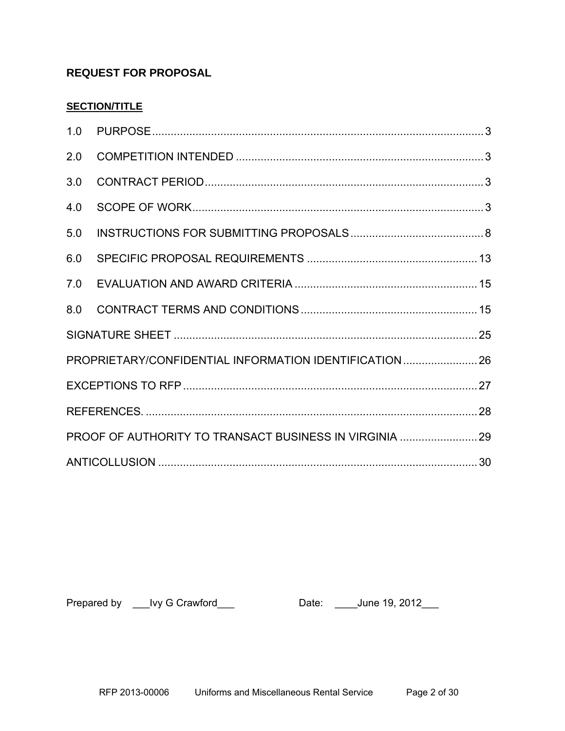## **REQUEST FOR PROPOSAL**

### **SECTION/TITLE**

| 2.0                                                    |  |  |  |  |
|--------------------------------------------------------|--|--|--|--|
| 3.0                                                    |  |  |  |  |
| 4.0                                                    |  |  |  |  |
| 5.0                                                    |  |  |  |  |
| 6.0                                                    |  |  |  |  |
| 7.0                                                    |  |  |  |  |
| 8.0                                                    |  |  |  |  |
|                                                        |  |  |  |  |
| PROPRIETARY/CONFIDENTIAL INFORMATION IDENTIFICATION 26 |  |  |  |  |
|                                                        |  |  |  |  |
|                                                        |  |  |  |  |
|                                                        |  |  |  |  |
|                                                        |  |  |  |  |

Prepared by \_\_\_Ivy G Crawford\_\_\_ Date: \_\_\_\_June 19, 2012\_\_\_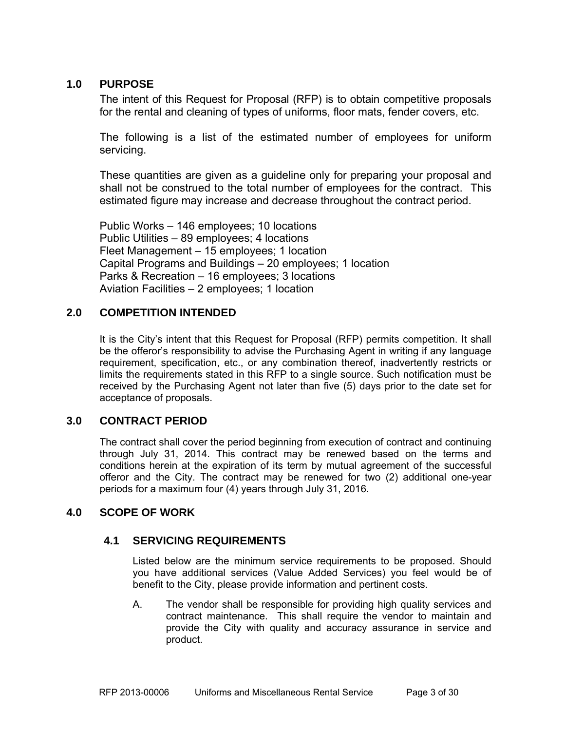#### **1.0 PURPOSE**

The intent of this Request for Proposal (RFP) is to obtain competitive proposals for the rental and cleaning of types of uniforms, floor mats, fender covers, etc.

The following is a list of the estimated number of employees for uniform servicing.

These quantities are given as a guideline only for preparing your proposal and shall not be construed to the total number of employees for the contract. This estimated figure may increase and decrease throughout the contract period.

Public Works – 146 employees; 10 locations Public Utilities – 89 employees; 4 locations Fleet Management – 15 employees; 1 location Capital Programs and Buildings – 20 employees; 1 location Parks & Recreation – 16 employees; 3 locations Aviation Facilities – 2 employees; 1 location

### **2.0 COMPETITION INTENDED**

It is the City's intent that this Request for Proposal (RFP) permits competition. It shall be the offeror's responsibility to advise the Purchasing Agent in writing if any language requirement, specification, etc., or any combination thereof, inadvertently restricts or limits the requirements stated in this RFP to a single source. Such notification must be received by the Purchasing Agent not later than five (5) days prior to the date set for acceptance of proposals.

### **3.0 CONTRACT PERIOD**

The contract shall cover the period beginning from execution of contract and continuing through July 31, 2014. This contract may be renewed based on the terms and conditions herein at the expiration of its term by mutual agreement of the successful offeror and the City. The contract may be renewed for two (2) additional one-year periods for a maximum four (4) years through July 31, 2016.

#### **4.0 SCOPE OF WORK**

### **4.1 SERVICING REQUIREMENTS**

Listed below are the minimum service requirements to be proposed. Should you have additional services (Value Added Services) you feel would be of benefit to the City, please provide information and pertinent costs.

A. The vendor shall be responsible for providing high quality services and contract maintenance. This shall require the vendor to maintain and provide the City with quality and accuracy assurance in service and product.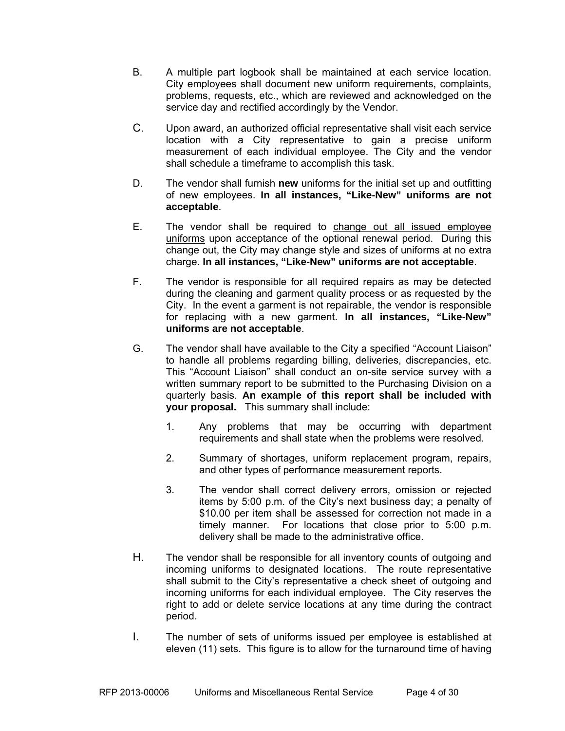- B. A multiple part logbook shall be maintained at each service location. City employees shall document new uniform requirements, complaints, problems, requests, etc., which are reviewed and acknowledged on the service day and rectified accordingly by the Vendor.
- C. Upon award, an authorized official representative shall visit each service location with a City representative to gain a precise uniform measurement of each individual employee. The City and the vendor shall schedule a timeframe to accomplish this task.
- D. The vendor shall furnish **new** uniforms for the initial set up and outfitting of new employees. **In all instances, "Like-New" uniforms are not acceptable**.
- E. The vendor shall be required to change out all issued employee uniforms upon acceptance of the optional renewal period. During this change out, the City may change style and sizes of uniforms at no extra charge. **In all instances, "Like-New" uniforms are not acceptable**.
- F. The vendor is responsible for all required repairs as may be detected during the cleaning and garment quality process or as requested by the City. In the event a garment is not repairable, the vendor is responsible for replacing with a new garment. **In all instances, "Like-New" uniforms are not acceptable**.
- G. The vendor shall have available to the City a specified "Account Liaison" to handle all problems regarding billing, deliveries, discrepancies, etc. This "Account Liaison" shall conduct an on-site service survey with a written summary report to be submitted to the Purchasing Division on a quarterly basis. **An example of this report shall be included with your proposal.** This summary shall include:
	- 1. Any problems that may be occurring with department requirements and shall state when the problems were resolved.
	- 2. Summary of shortages, uniform replacement program, repairs, and other types of performance measurement reports.
	- 3. The vendor shall correct delivery errors, omission or rejected items by 5:00 p.m. of the City's next business day; a penalty of \$10.00 per item shall be assessed for correction not made in a timely manner. For locations that close prior to 5:00 p.m. delivery shall be made to the administrative office.
- H. The vendor shall be responsible for all inventory counts of outgoing and incoming uniforms to designated locations. The route representative shall submit to the City's representative a check sheet of outgoing and incoming uniforms for each individual employee. The City reserves the right to add or delete service locations at any time during the contract period.
- I. The number of sets of uniforms issued per employee is established at eleven (11) sets. This figure is to allow for the turnaround time of having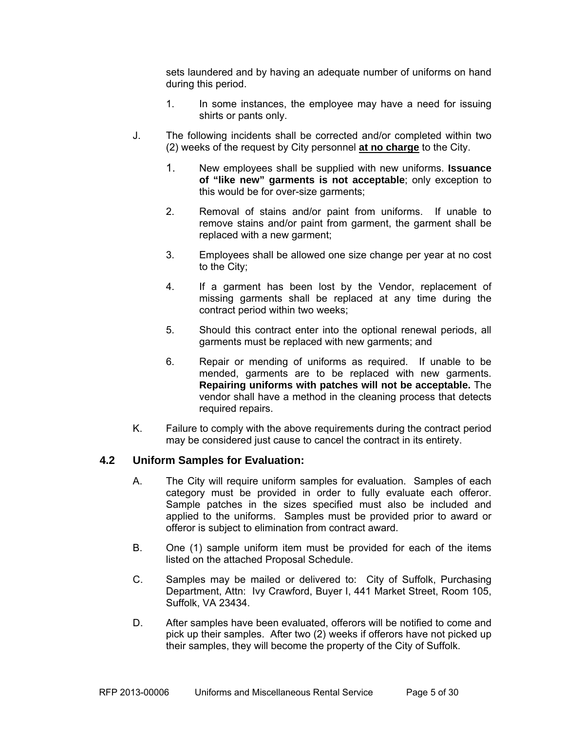sets laundered and by having an adequate number of uniforms on hand during this period.

- 1. In some instances, the employee may have a need for issuing shirts or pants only.
- J. The following incidents shall be corrected and/or completed within two (2) weeks of the request by City personnel **at no charge** to the City.
	- 1. New employees shall be supplied with new uniforms. **Issuance of "like new" garments is not acceptable**; only exception to this would be for over-size garments;
	- 2. Removal of stains and/or paint from uniforms. If unable to remove stains and/or paint from garment, the garment shall be replaced with a new garment;
	- 3. Employees shall be allowed one size change per year at no cost to the City;
	- 4. If a garment has been lost by the Vendor, replacement of missing garments shall be replaced at any time during the contract period within two weeks;
	- 5. Should this contract enter into the optional renewal periods, all garments must be replaced with new garments; and
	- 6. Repair or mending of uniforms as required. If unable to be mended, garments are to be replaced with new garments. **Repairing uniforms with patches will not be acceptable.** The vendor shall have a method in the cleaning process that detects required repairs.
- K. Failure to comply with the above requirements during the contract period may be considered just cause to cancel the contract in its entirety.

#### **4.2 Uniform Samples for Evaluation:**

- A. The City will require uniform samples for evaluation. Samples of each category must be provided in order to fully evaluate each offeror. Sample patches in the sizes specified must also be included and applied to the uniforms. Samples must be provided prior to award or offeror is subject to elimination from contract award.
- B. One (1) sample uniform item must be provided for each of the items listed on the attached Proposal Schedule.
- C. Samples may be mailed or delivered to: City of Suffolk, Purchasing Department, Attn: Ivy Crawford, Buyer I, 441 Market Street, Room 105, Suffolk, VA 23434.
- D. After samples have been evaluated, offerors will be notified to come and pick up their samples. After two (2) weeks if offerors have not picked up their samples, they will become the property of the City of Suffolk.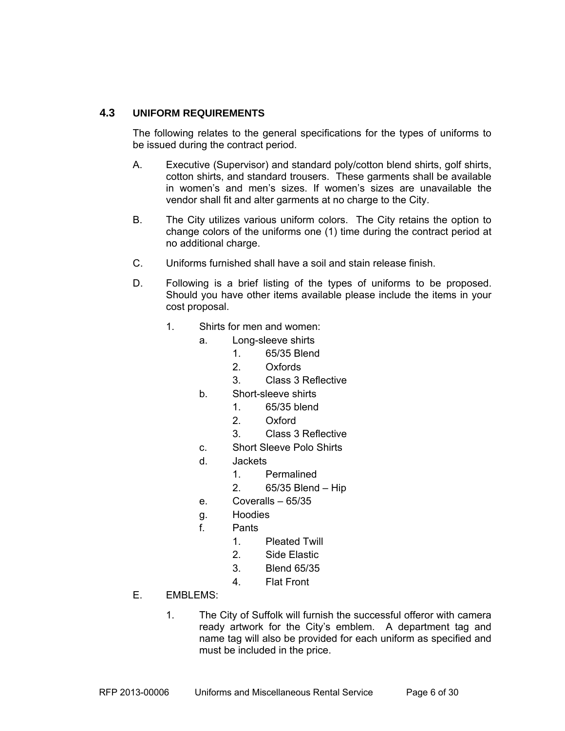#### **4.3 UNIFORM REQUIREMENTS**

The following relates to the general specifications for the types of uniforms to be issued during the contract period.

- A. Executive (Supervisor) and standard poly/cotton blend shirts, golf shirts, cotton shirts, and standard trousers. These garments shall be available in women's and men's sizes. If women's sizes are unavailable the vendor shall fit and alter garments at no charge to the City.
- B. The City utilizes various uniform colors. The City retains the option to change colors of the uniforms one (1) time during the contract period at no additional charge.
- C. Uniforms furnished shall have a soil and stain release finish.
- D. Following is a brief listing of the types of uniforms to be proposed. Should you have other items available please include the items in your cost proposal.
	- 1. Shirts for men and women:
		- a. Long-sleeve shirts
			- 1. 65/35 Blend
			- 2. Oxfords
			- 3. Class 3 Reflective
		- b. Short-sleeve shirts
			- 1. 65/35 blend
				- 2. Oxford
				- 3. Class 3 Reflective
		- c. Short Sleeve Polo Shirts
		- d. Jackets
			- 1. Permalined
			- 2. 65/35 Blend Hip
		- e. Coveralls 65/35
		- g. Hoodies
		- f. Pants
			- 1. Pleated Twill
			- 2. Side Elastic
			- 3. Blend 65/35
			- 4. Flat Front
- E. EMBLEMS:
	- 1. The City of Suffolk will furnish the successful offeror with camera ready artwork for the City's emblem. A department tag and name tag will also be provided for each uniform as specified and must be included in the price.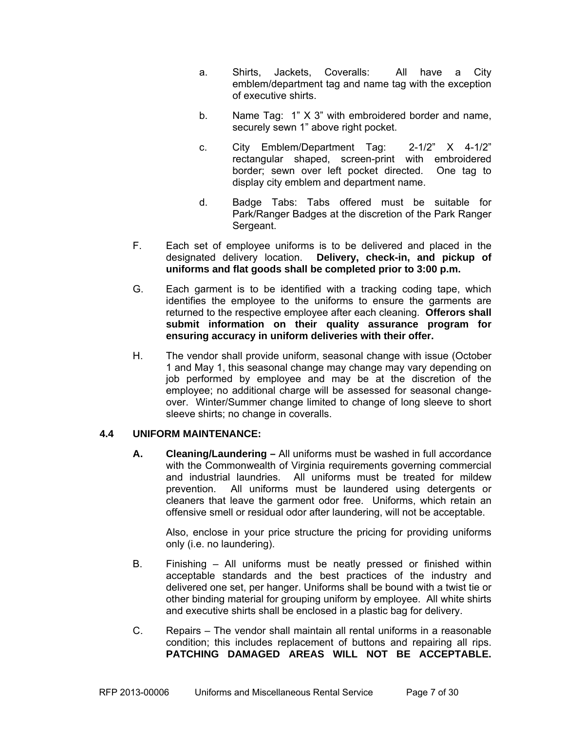- a. Shirts, Jackets, Coveralls: All have a City emblem/department tag and name tag with the exception of executive shirts.
- b. Name Tag: 1" X 3" with embroidered border and name, securely sewn 1" above right pocket.
- c. City Emblem/Department Tag: 2-1/2" X 4-1/2" rectangular shaped, screen-print with embroidered border; sewn over left pocket directed. One tag to display city emblem and department name.
- d. Badge Tabs: Tabs offered must be suitable for Park/Ranger Badges at the discretion of the Park Ranger Sergeant.
- F. Each set of employee uniforms is to be delivered and placed in the designated delivery location. **Delivery, check-in, and pickup of uniforms and flat goods shall be completed prior to 3:00 p.m.**
- G. Each garment is to be identified with a tracking coding tape, which identifies the employee to the uniforms to ensure the garments are returned to the respective employee after each cleaning. **Offerors shall submit information on their quality assurance program for ensuring accuracy in uniform deliveries with their offer.**
- H. The vendor shall provide uniform, seasonal change with issue (October 1 and May 1, this seasonal change may change may vary depending on job performed by employee and may be at the discretion of the employee; no additional charge will be assessed for seasonal changeover. Winter/Summer change limited to change of long sleeve to short sleeve shirts; no change in coveralls.

### **4.4 UNIFORM MAINTENANCE:**

**A. Cleaning/Laundering –** All uniforms must be washed in full accordance with the Commonwealth of Virginia requirements governing commercial and industrial laundries. All uniforms must be treated for mildew prevention. All uniforms must be laundered using detergents or cleaners that leave the garment odor free. Uniforms, which retain an offensive smell or residual odor after laundering, will not be acceptable.

Also, enclose in your price structure the pricing for providing uniforms only (i.e. no laundering).

- B. Finishing All uniforms must be neatly pressed or finished within acceptable standards and the best practices of the industry and delivered one set, per hanger. Uniforms shall be bound with a twist tie or other binding material for grouping uniform by employee. All white shirts and executive shirts shall be enclosed in a plastic bag for delivery.
- C. Repairs The vendor shall maintain all rental uniforms in a reasonable condition; this includes replacement of buttons and repairing all rips. **PATCHING DAMAGED AREAS WILL NOT BE ACCEPTABLE.**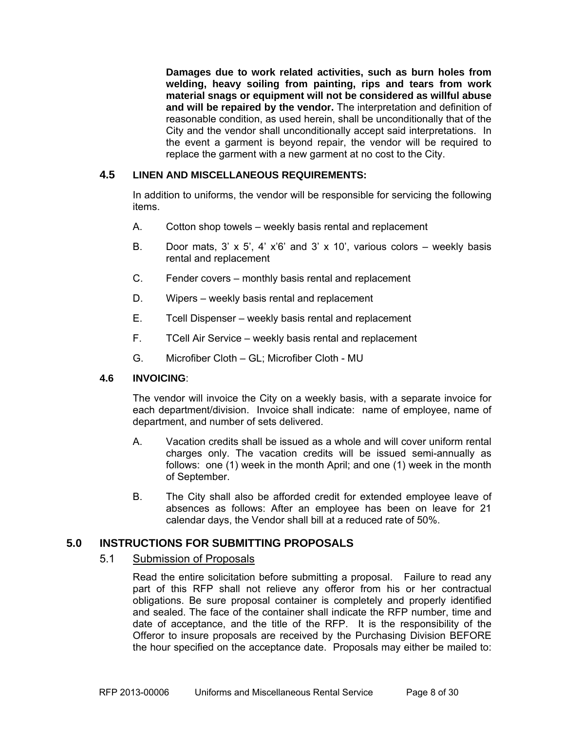**Damages due to work related activities, such as burn holes from welding, heavy soiling from painting, rips and tears from work material snags or equipment will not be considered as willful abuse and will be repaired by the vendor.** The interpretation and definition of reasonable condition, as used herein, shall be unconditionally that of the City and the vendor shall unconditionally accept said interpretations. In the event a garment is beyond repair, the vendor will be required to replace the garment with a new garment at no cost to the City.

#### **4.5 LINEN AND MISCELLANEOUS REQUIREMENTS:**

In addition to uniforms, the vendor will be responsible for servicing the following items.

- A. Cotton shop towels weekly basis rental and replacement
- B. Door mats, 3'  $\times$  5', 4'  $\times$ '6' and 3'  $\times$  10', various colors weekly basis rental and replacement
- C. Fender covers monthly basis rental and replacement
- D. Wipers weekly basis rental and replacement
- E. Tcell Dispenser weekly basis rental and replacement
- F. TCell Air Service weekly basis rental and replacement
- G. Microfiber Cloth GL; Microfiber Cloth MU

#### **4.6 INVOICING**:

The vendor will invoice the City on a weekly basis, with a separate invoice for each department/division. Invoice shall indicate: name of employee, name of department, and number of sets delivered.

- A. Vacation credits shall be issued as a whole and will cover uniform rental charges only. The vacation credits will be issued semi-annually as follows: one (1) week in the month April; and one (1) week in the month of September.
- B. The City shall also be afforded credit for extended employee leave of absences as follows: After an employee has been on leave for 21 calendar days, the Vendor shall bill at a reduced rate of 50%.

#### **5.0 INSTRUCTIONS FOR SUBMITTING PROPOSALS**

#### 5.1 Submission of Proposals

Read the entire solicitation before submitting a proposal. Failure to read any part of this RFP shall not relieve any offeror from his or her contractual obligations. Be sure proposal container is completely and properly identified and sealed. The face of the container shall indicate the RFP number, time and date of acceptance, and the title of the RFP. It is the responsibility of the Offeror to insure proposals are received by the Purchasing Division BEFORE the hour specified on the acceptance date. Proposals may either be mailed to: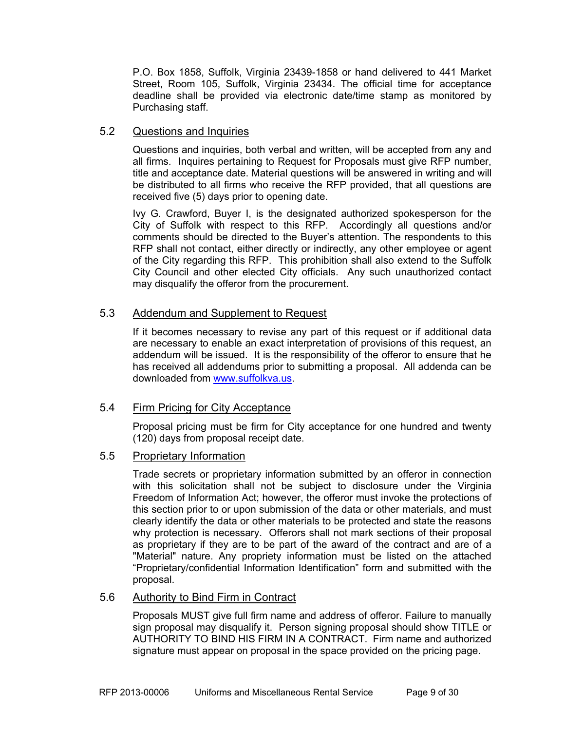P.O. Box 1858, Suffolk, Virginia 23439-1858 or hand delivered to 441 Market Street, Room 105, Suffolk, Virginia 23434. The official time for acceptance deadline shall be provided via electronic date/time stamp as monitored by Purchasing staff.

#### 5.2 Questions and Inquiries

Questions and inquiries, both verbal and written, will be accepted from any and all firms. Inquires pertaining to Request for Proposals must give RFP number, title and acceptance date. Material questions will be answered in writing and will be distributed to all firms who receive the RFP provided, that all questions are received five (5) days prior to opening date.

Ivy G. Crawford, Buyer I, is the designated authorized spokesperson for the City of Suffolk with respect to this RFP. Accordingly all questions and/or comments should be directed to the Buyer's attention. The respondents to this RFP shall not contact, either directly or indirectly, any other employee or agent of the City regarding this RFP. This prohibition shall also extend to the Suffolk City Council and other elected City officials. Any such unauthorized contact may disqualify the offeror from the procurement.

#### 5.3 Addendum and Supplement to Request

If it becomes necessary to revise any part of this request or if additional data are necessary to enable an exact interpretation of provisions of this request, an addendum will be issued. It is the responsibility of the offeror to ensure that he has received all addendums prior to submitting a proposal. All addenda can be downloaded from www.suffolkva.us.

#### 5.4 Firm Pricing for City Acceptance

Proposal pricing must be firm for City acceptance for one hundred and twenty (120) days from proposal receipt date.

#### 5.5 Proprietary Information

Trade secrets or proprietary information submitted by an offeror in connection with this solicitation shall not be subject to disclosure under the Virginia Freedom of Information Act; however, the offeror must invoke the protections of this section prior to or upon submission of the data or other materials, and must clearly identify the data or other materials to be protected and state the reasons why protection is necessary. Offerors shall not mark sections of their proposal as proprietary if they are to be part of the award of the contract and are of a "Material" nature. Any propriety information must be listed on the attached "Proprietary/confidential Information Identification" form and submitted with the proposal.

#### 5.6 Authority to Bind Firm in Contract

Proposals MUST give full firm name and address of offeror. Failure to manually sign proposal may disqualify it. Person signing proposal should show TITLE or AUTHORITY TO BIND HIS FIRM IN A CONTRACT. Firm name and authorized signature must appear on proposal in the space provided on the pricing page.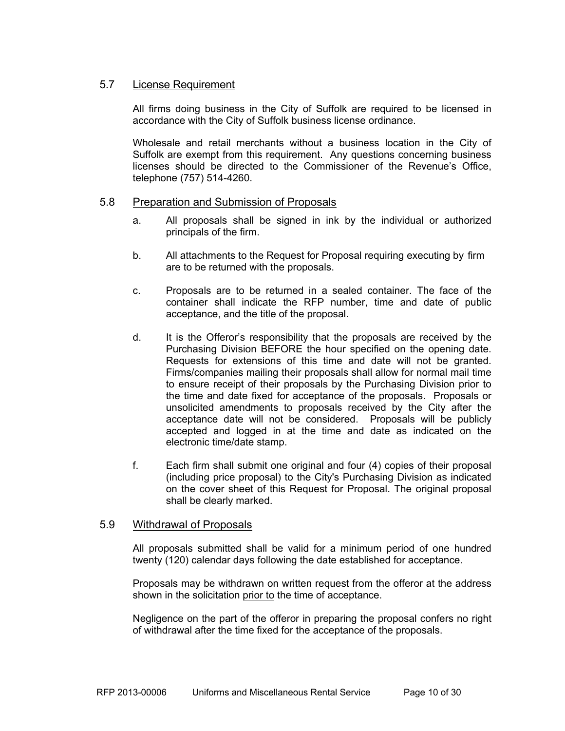#### 5.7 License Requirement

All firms doing business in the City of Suffolk are required to be licensed in accordance with the City of Suffolk business license ordinance.

Wholesale and retail merchants without a business location in the City of Suffolk are exempt from this requirement. Any questions concerning business licenses should be directed to the Commissioner of the Revenue's Office, telephone (757) 514-4260.

#### 5.8 Preparation and Submission of Proposals

- a. All proposals shall be signed in ink by the individual or authorized principals of the firm.
- b. All attachments to the Request for Proposal requiring executing by firm are to be returned with the proposals.
- c. Proposals are to be returned in a sealed container. The face of the container shall indicate the RFP number, time and date of public acceptance, and the title of the proposal.
- d. It is the Offeror's responsibility that the proposals are received by the Purchasing Division BEFORE the hour specified on the opening date. Requests for extensions of this time and date will not be granted. Firms/companies mailing their proposals shall allow for normal mail time to ensure receipt of their proposals by the Purchasing Division prior to the time and date fixed for acceptance of the proposals. Proposals or unsolicited amendments to proposals received by the City after the acceptance date will not be considered. Proposals will be publicly accepted and logged in at the time and date as indicated on the electronic time/date stamp.
- f. Each firm shall submit one original and four (4) copies of their proposal (including price proposal) to the City's Purchasing Division as indicated on the cover sheet of this Request for Proposal. The original proposal shall be clearly marked.

#### 5.9 Withdrawal of Proposals

All proposals submitted shall be valid for a minimum period of one hundred twenty (120) calendar days following the date established for acceptance.

Proposals may be withdrawn on written request from the offeror at the address shown in the solicitation prior to the time of acceptance.

Negligence on the part of the offeror in preparing the proposal confers no right of withdrawal after the time fixed for the acceptance of the proposals.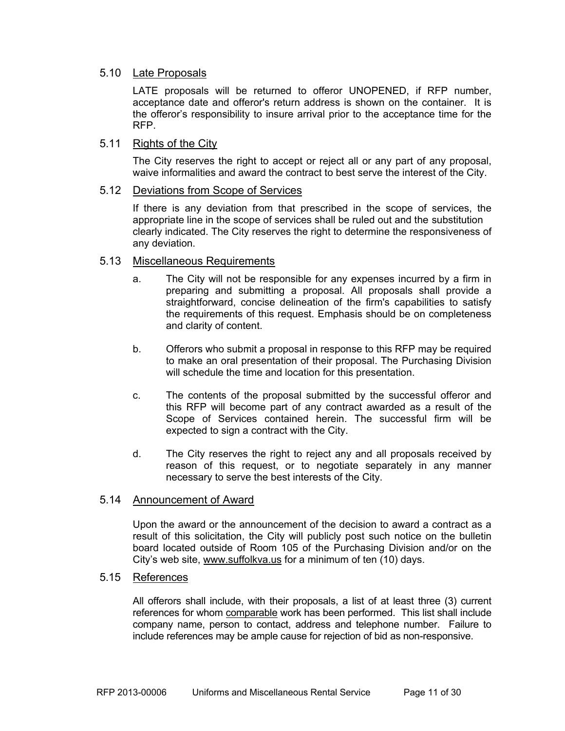#### 5.10 Late Proposals

LATE proposals will be returned to offeror UNOPENED, if RFP number, acceptance date and offeror's return address is shown on the container. It is the offeror's responsibility to insure arrival prior to the acceptance time for the RFP.

#### 5.11 Rights of the City

The City reserves the right to accept or reject all or any part of any proposal, waive informalities and award the contract to best serve the interest of the City.

#### 5.12 Deviations from Scope of Services

If there is any deviation from that prescribed in the scope of services, the appropriate line in the scope of services shall be ruled out and the substitution clearly indicated. The City reserves the right to determine the responsiveness of any deviation.

#### 5.13 Miscellaneous Requirements

- a. The City will not be responsible for any expenses incurred by a firm in preparing and submitting a proposal. All proposals shall provide a straightforward, concise delineation of the firm's capabilities to satisfy the requirements of this request. Emphasis should be on completeness and clarity of content.
- b. Offerors who submit a proposal in response to this RFP may be required to make an oral presentation of their proposal. The Purchasing Division will schedule the time and location for this presentation.
- c. The contents of the proposal submitted by the successful offeror and this RFP will become part of any contract awarded as a result of the Scope of Services contained herein. The successful firm will be expected to sign a contract with the City.
- d. The City reserves the right to reject any and all proposals received by reason of this request, or to negotiate separately in any manner necessary to serve the best interests of the City.

#### 5.14 Announcement of Award

Upon the award or the announcement of the decision to award a contract as a result of this solicitation, the City will publicly post such notice on the bulletin board located outside of Room 105 of the Purchasing Division and/or on the City's web site, www.suffolkva.us for a minimum of ten (10) days.

#### 5.15 References

 All offerors shall include, with their proposals, a list of at least three (3) current references for whom comparable work has been performed. This list shall include company name, person to contact, address and telephone number. Failure to include references may be ample cause for rejection of bid as non-responsive.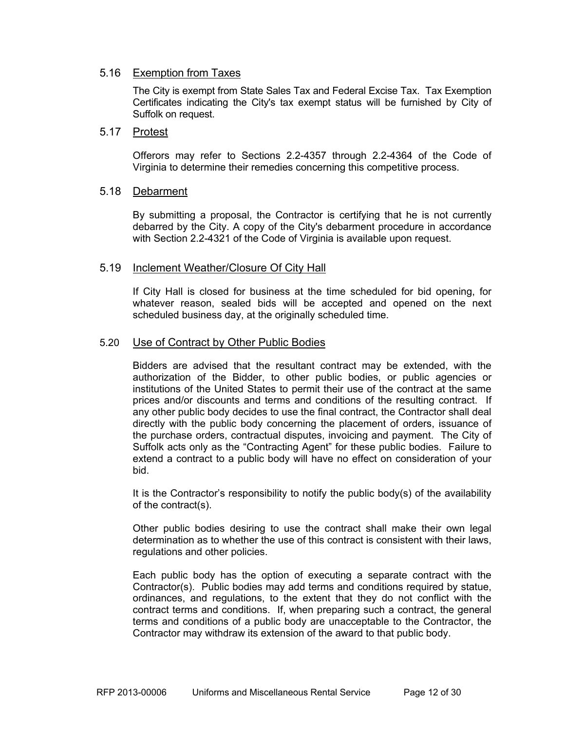#### 5.16 Exemption from Taxes

 The City is exempt from State Sales Tax and Federal Excise Tax. Tax Exemption Certificates indicating the City's tax exempt status will be furnished by City of Suffolk on request.

#### 5.17 Protest

Offerors may refer to Sections 2.2-4357 through 2.2-4364 of the Code of Virginia to determine their remedies concerning this competitive process.

#### 5.18 Debarment

By submitting a proposal, the Contractor is certifying that he is not currently debarred by the City. A copy of the City's debarment procedure in accordance with Section 2.2-4321 of the Code of Virginia is available upon request.

#### 5.19 Inclement Weather/Closure Of City Hall

If City Hall is closed for business at the time scheduled for bid opening, for whatever reason, sealed bids will be accepted and opened on the next scheduled business day, at the originally scheduled time.

#### 5.20 Use of Contract by Other Public Bodies

Bidders are advised that the resultant contract may be extended, with the authorization of the Bidder, to other public bodies, or public agencies or institutions of the United States to permit their use of the contract at the same prices and/or discounts and terms and conditions of the resulting contract. If any other public body decides to use the final contract, the Contractor shall deal directly with the public body concerning the placement of orders, issuance of the purchase orders, contractual disputes, invoicing and payment. The City of Suffolk acts only as the "Contracting Agent" for these public bodies. Failure to extend a contract to a public body will have no effect on consideration of your bid.

It is the Contractor's responsibility to notify the public body(s) of the availability of the contract(s).

Other public bodies desiring to use the contract shall make their own legal determination as to whether the use of this contract is consistent with their laws, regulations and other policies.

Each public body has the option of executing a separate contract with the Contractor(s). Public bodies may add terms and conditions required by statue, ordinances, and regulations, to the extent that they do not conflict with the contract terms and conditions. If, when preparing such a contract, the general terms and conditions of a public body are unacceptable to the Contractor, the Contractor may withdraw its extension of the award to that public body.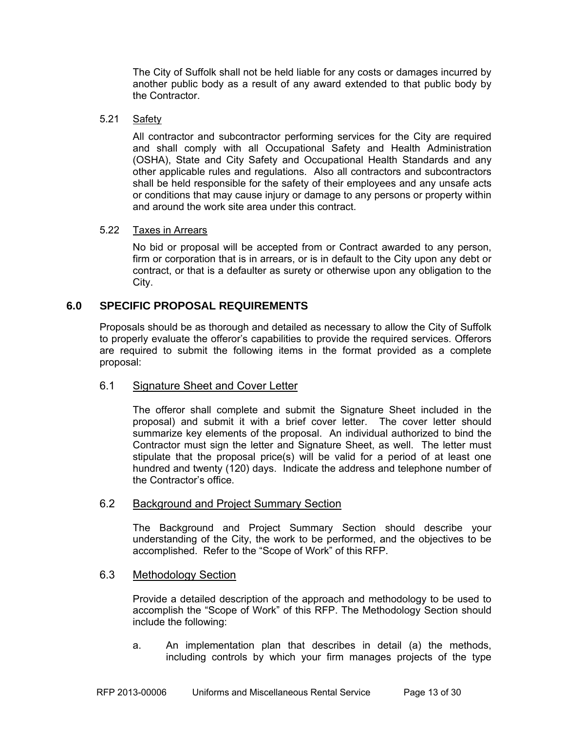The City of Suffolk shall not be held liable for any costs or damages incurred by another public body as a result of any award extended to that public body by the Contractor.

#### 5.21 Safety

All contractor and subcontractor performing services for the City are required and shall comply with all Occupational Safety and Health Administration (OSHA), State and City Safety and Occupational Health Standards and any other applicable rules and regulations. Also all contractors and subcontractors shall be held responsible for the safety of their employees and any unsafe acts or conditions that may cause injury or damage to any persons or property within and around the work site area under this contract.

#### 5.22 Taxes in Arrears

 No bid or proposal will be accepted from or Contract awarded to any person, firm or corporation that is in arrears, or is in default to the City upon any debt or contract, or that is a defaulter as surety or otherwise upon any obligation to the City.

#### **6.0 SPECIFIC PROPOSAL REQUIREMENTS**

Proposals should be as thorough and detailed as necessary to allow the City of Suffolk to properly evaluate the offeror's capabilities to provide the required services. Offerors are required to submit the following items in the format provided as a complete proposal:

#### 6.1 Signature Sheet and Cover Letter

The offeror shall complete and submit the Signature Sheet included in the proposal) and submit it with a brief cover letter. The cover letter should summarize key elements of the proposal. An individual authorized to bind the Contractor must sign the letter and Signature Sheet, as well. The letter must stipulate that the proposal price(s) will be valid for a period of at least one hundred and twenty (120) days. Indicate the address and telephone number of the Contractor's office.

#### 6.2 Background and Project Summary Section

The Background and Project Summary Section should describe your understanding of the City, the work to be performed, and the objectives to be accomplished. Refer to the "Scope of Work" of this RFP.

#### 6.3 Methodology Section

Provide a detailed description of the approach and methodology to be used to accomplish the "Scope of Work" of this RFP. The Methodology Section should include the following:

a. An implementation plan that describes in detail (a) the methods, including controls by which your firm manages projects of the type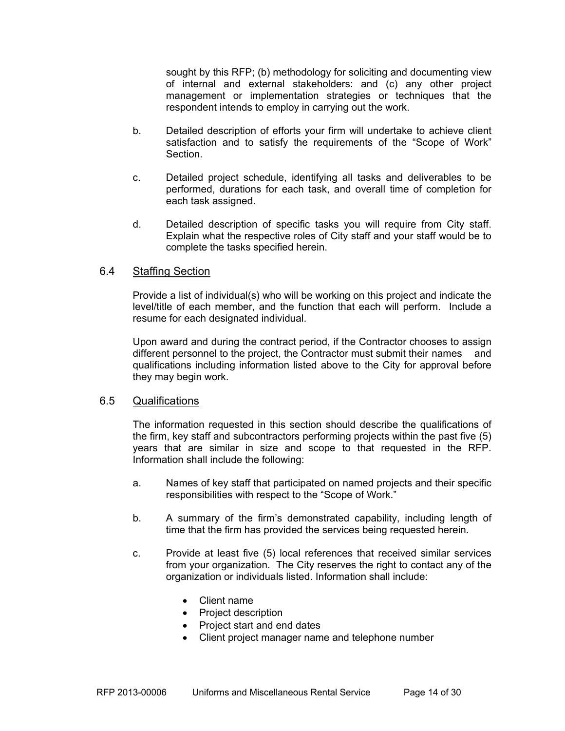sought by this RFP; (b) methodology for soliciting and documenting view of internal and external stakeholders: and (c) any other project management or implementation strategies or techniques that the respondent intends to employ in carrying out the work.

- b. Detailed description of efforts your firm will undertake to achieve client satisfaction and to satisfy the requirements of the "Scope of Work" Section.
- c. Detailed project schedule, identifying all tasks and deliverables to be performed, durations for each task, and overall time of completion for each task assigned.
- d. Detailed description of specific tasks you will require from City staff. Explain what the respective roles of City staff and your staff would be to complete the tasks specified herein.

#### 6.4 Staffing Section

Provide a list of individual(s) who will be working on this project and indicate the level/title of each member, and the function that each will perform. Include a resume for each designated individual.

Upon award and during the contract period, if the Contractor chooses to assign different personnel to the project, the Contractor must submit their names and qualifications including information listed above to the City for approval before they may begin work.

#### 6.5 Qualifications

The information requested in this section should describe the qualifications of the firm, key staff and subcontractors performing projects within the past five (5) years that are similar in size and scope to that requested in the RFP. Information shall include the following:

- a. Names of key staff that participated on named projects and their specific responsibilities with respect to the "Scope of Work."
- b. A summary of the firm's demonstrated capability, including length of time that the firm has provided the services being requested herein.
- c. Provide at least five (5) local references that received similar services from your organization. The City reserves the right to contact any of the organization or individuals listed. Information shall include:
	- Client name
	- Project description
	- Project start and end dates
	- Client project manager name and telephone number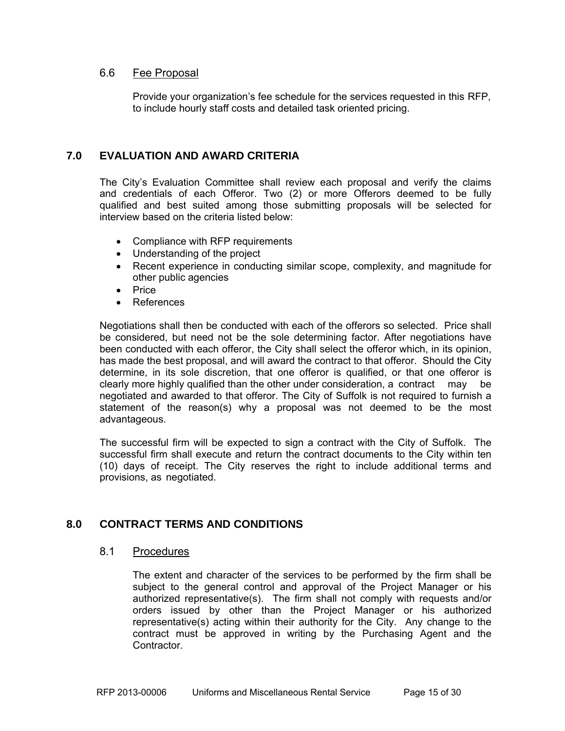#### 6.6 Fee Proposal

Provide your organization's fee schedule for the services requested in this RFP, to include hourly staff costs and detailed task oriented pricing.

#### **7.0 EVALUATION AND AWARD CRITERIA**

The City's Evaluation Committee shall review each proposal and verify the claims and credentials of each Offeror. Two (2) or more Offerors deemed to be fully qualified and best suited among those submitting proposals will be selected for interview based on the criteria listed below:

- Compliance with RFP requirements
- Understanding of the project
- Recent experience in conducting similar scope, complexity, and magnitude for other public agencies
- Price
- References

Negotiations shall then be conducted with each of the offerors so selected. Price shall be considered, but need not be the sole determining factor. After negotiations have been conducted with each offeror, the City shall select the offeror which, in its opinion, has made the best proposal, and will award the contract to that offeror. Should the City determine, in its sole discretion, that one offeror is qualified, or that one offeror is clearly more highly qualified than the other under consideration, a contract may be negotiated and awarded to that offeror. The City of Suffolk is not required to furnish a statement of the reason(s) why a proposal was not deemed to be the most advantageous.

The successful firm will be expected to sign a contract with the City of Suffolk. The successful firm shall execute and return the contract documents to the City within ten (10) days of receipt. The City reserves the right to include additional terms and provisions, as negotiated.

### **8.0 CONTRACT TERMS AND CONDITIONS**

#### 8.1 Procedures

The extent and character of the services to be performed by the firm shall be subject to the general control and approval of the Project Manager or his authorized representative(s). The firm shall not comply with requests and/or orders issued by other than the Project Manager or his authorized representative(s) acting within their authority for the City. Any change to the contract must be approved in writing by the Purchasing Agent and the Contractor.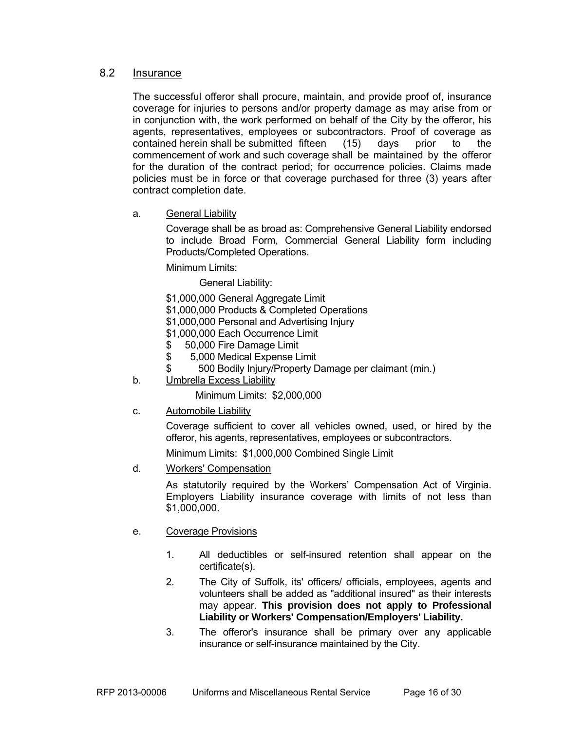#### 8.2 Insurance

The successful offeror shall procure, maintain, and provide proof of, insurance coverage for injuries to persons and/or property damage as may arise from or in conjunction with, the work performed on behalf of the City by the offeror, his agents, representatives, employees or subcontractors. Proof of coverage as contained herein shall be submitted fifteen (15) days prior to the commencement of work and such coverage shall be maintained by the offeror for the duration of the contract period; for occurrence policies. Claims made policies must be in force or that coverage purchased for three (3) years after contract completion date.

a. General Liability

 Coverage shall be as broad as: Comprehensive General Liability endorsed to include Broad Form, Commercial General Liability form including Products/Completed Operations.

Minimum Limits:

General Liability:

- \$1,000,000 General Aggregate Limit
- \$1,000,000 Products & Completed Operations
- \$1,000,000 Personal and Advertising Injury
- \$1,000,000 Each Occurrence Limit
- \$ 50,000 Fire Damage Limit
- \$ 5,000 Medical Expense Limit
- \$ 500 Bodily Injury/Property Damage per claimant (min.)
- b. Umbrella Excess Liability

Minimum Limits: \$2,000,000

c. Automobile Liability

Coverage sufficient to cover all vehicles owned, used, or hired by the offeror, his agents, representatives, employees or subcontractors.

Minimum Limits: \$1,000,000 Combined Single Limit

d. Workers' Compensation

As statutorily required by the Workers' Compensation Act of Virginia. Employers Liability insurance coverage with limits of not less than \$1,000,000.

- e. Coverage Provisions
	- 1. All deductibles or self-insured retention shall appear on the certificate(s).
	- 2. The City of Suffolk, its' officers/ officials, employees, agents and volunteers shall be added as "additional insured" as their interests may appear. **This provision does not apply to Professional Liability or Workers' Compensation/Employers' Liability.**
	- 3. The offeror's insurance shall be primary over any applicable insurance or self-insurance maintained by the City.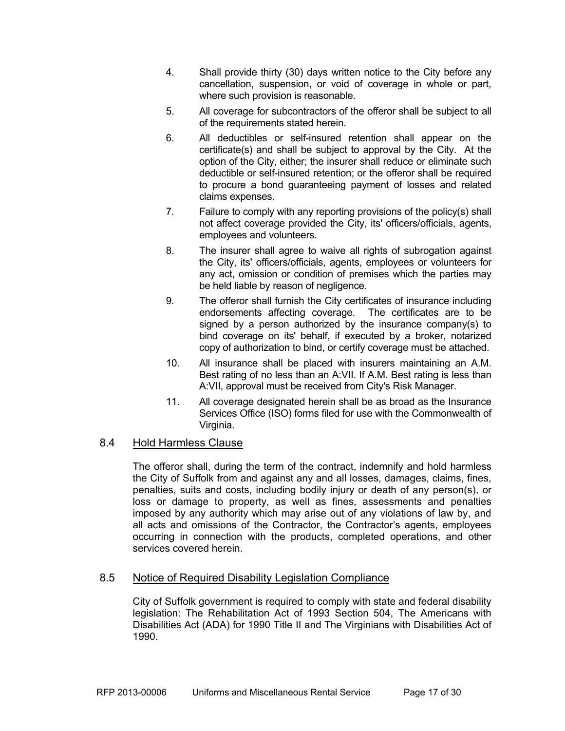- 4. Shall provide thirty (30) days written notice to the City before any cancellation, suspension, or void of coverage in whole or part, where such provision is reasonable.
- 5. All coverage for subcontractors of the offeror shall be subject to all of the requirements stated herein.
- 6. All deductibles or self-insured retention shall appear on the certificate(s) and shall be subject to approval by the City. At the option of the City, either; the insurer shall reduce or eliminate such deductible or self-insured retention; or the offeror shall be required to procure a bond guaranteeing payment of losses and related claims expenses.
- 7. Failure to comply with any reporting provisions of the policy(s) shall not affect coverage provided the City, its' officers/officials, agents, employees and volunteers.
- 8. The insurer shall agree to waive all rights of subrogation against the City, its' officers/officials, agents, employees or volunteers for any act, omission or condition of premises which the parties may be held liable by reason of negligence.
- 9. The offeror shall furnish the City certificates of insurance including endorsements affecting coverage. The certificates are to be signed by a person authorized by the insurance company(s) to bind coverage on its' behalf, if executed by a broker, notarized copy of authorization to bind, or certify coverage must be attached.
- 10. All insurance shall be placed with insurers maintaining an A.M. Best rating of no less than an A:VII. If A.M. Best rating is less than A:VII, approval must be received from City's Risk Manager.
- 11. All coverage designated herein shall be as broad as the Insurance Services Office (ISO) forms filed for use with the Commonwealth of Virginia.

#### 8.4 Hold Harmless Clause

The offeror shall, during the term of the contract, indemnify and hold harmless the City of Suffolk from and against any and all losses, damages, claims, fines, penalties, suits and costs, including bodily injury or death of any person(s), or loss or damage to property, as well as fines, assessments and penalties imposed by any authority which may arise out of any violations of law by, and all acts and omissions of the Contractor, the Contractor's agents, employees occurring in connection with the products, completed operations, and other services covered herein.

### 8.5 Notice of Required Disability Legislation Compliance

 City of Suffolk government is required to comply with state and federal disability legislation: The Rehabilitation Act of 1993 Section 504, The Americans with Disabilities Act (ADA) for 1990 Title II and The Virginians with Disabilities Act of 1990.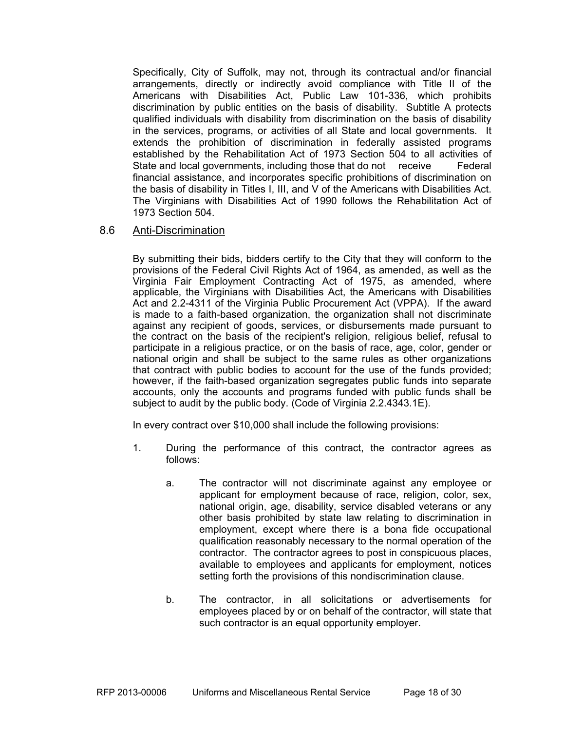Specifically, City of Suffolk, may not, through its contractual and/or financial arrangements, directly or indirectly avoid compliance with Title II of the Americans with Disabilities Act, Public Law 101-336, which prohibits discrimination by public entities on the basis of disability. Subtitle A protects qualified individuals with disability from discrimination on the basis of disability in the services, programs, or activities of all State and local governments. It extends the prohibition of discrimination in federally assisted programs established by the Rehabilitation Act of 1973 Section 504 to all activities of State and local governments, including those that do not receive Federal financial assistance, and incorporates specific prohibitions of discrimination on the basis of disability in Titles I, III, and V of the Americans with Disabilities Act. The Virginians with Disabilities Act of 1990 follows the Rehabilitation Act of 1973 Section 504.

#### 8.6 Anti-Discrimination

By submitting their bids, bidders certify to the City that they will conform to the provisions of the Federal Civil Rights Act of 1964, as amended, as well as the Virginia Fair Employment Contracting Act of 1975, as amended, where applicable, the Virginians with Disabilities Act, the Americans with Disabilities Act and 2.2-4311 of the Virginia Public Procurement Act (VPPA). If the award is made to a faith-based organization, the organization shall not discriminate against any recipient of goods, services, or disbursements made pursuant to the contract on the basis of the recipient's religion, religious belief, refusal to participate in a religious practice, or on the basis of race, age, color, gender or national origin and shall be subject to the same rules as other organizations that contract with public bodies to account for the use of the funds provided; however, if the faith-based organization segregates public funds into separate accounts, only the accounts and programs funded with public funds shall be subject to audit by the public body. (Code of Virginia 2.2.4343.1E).

In every contract over \$10,000 shall include the following provisions:

- 1. During the performance of this contract, the contractor agrees as follows:
	- a. The contractor will not discriminate against any employee or applicant for employment because of race, religion, color, sex, national origin, age, disability, service disabled veterans or any other basis prohibited by state law relating to discrimination in employment, except where there is a bona fide occupational qualification reasonably necessary to the normal operation of the contractor. The contractor agrees to post in conspicuous places, available to employees and applicants for employment, notices setting forth the provisions of this nondiscrimination clause.
	- b. The contractor, in all solicitations or advertisements for employees placed by or on behalf of the contractor, will state that such contractor is an equal opportunity employer.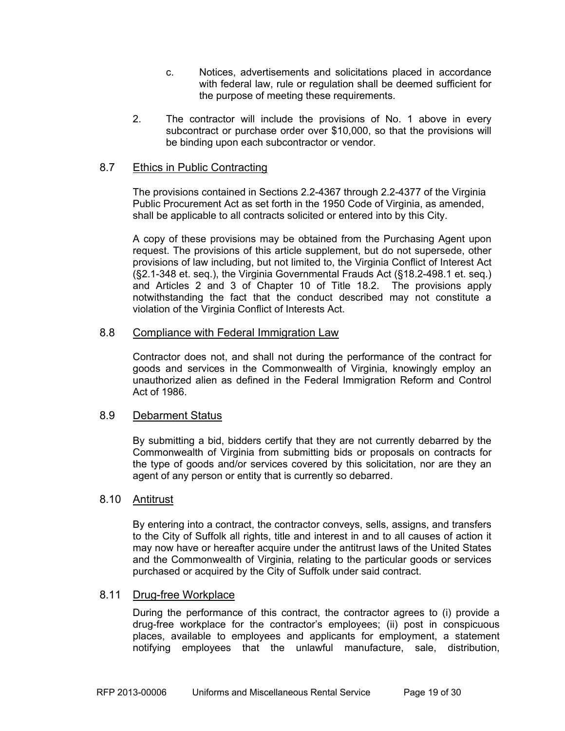- c. Notices, advertisements and solicitations placed in accordance with federal law, rule or regulation shall be deemed sufficient for the purpose of meeting these requirements.
- 2. The contractor will include the provisions of No. 1 above in every subcontract or purchase order over \$10,000, so that the provisions will be binding upon each subcontractor or vendor.

#### 8.7 Ethics in Public Contracting

The provisions contained in Sections 2.2-4367 through 2.2-4377 of the Virginia Public Procurement Act as set forth in the 1950 Code of Virginia, as amended, shall be applicable to all contracts solicited or entered into by this City.

A copy of these provisions may be obtained from the Purchasing Agent upon request. The provisions of this article supplement, but do not supersede, other provisions of law including, but not limited to, the Virginia Conflict of Interest Act (§2.1-348 et. seq.), the Virginia Governmental Frauds Act (§18.2-498.1 et. seq.) and Articles 2 and 3 of Chapter 10 of Title 18.2. The provisions apply notwithstanding the fact that the conduct described may not constitute a violation of the Virginia Conflict of Interests Act.

#### 8.8 Compliance with Federal Immigration Law

Contractor does not, and shall not during the performance of the contract for goods and services in the Commonwealth of Virginia, knowingly employ an unauthorized alien as defined in the Federal Immigration Reform and Control Act of 1986.

#### 8.9 Debarment Status

By submitting a bid, bidders certify that they are not currently debarred by the Commonwealth of Virginia from submitting bids or proposals on contracts for the type of goods and/or services covered by this solicitation, nor are they an agent of any person or entity that is currently so debarred.

#### 8.10 Antitrust

By entering into a contract, the contractor conveys, sells, assigns, and transfers to the City of Suffolk all rights, title and interest in and to all causes of action it may now have or hereafter acquire under the antitrust laws of the United States and the Commonwealth of Virginia, relating to the particular goods or services purchased or acquired by the City of Suffolk under said contract.

#### 8.11 Drug-free Workplace

 During the performance of this contract, the contractor agrees to (i) provide a drug-free workplace for the contractor's employees; (ii) post in conspicuous places, available to employees and applicants for employment, a statement notifying employees that the unlawful manufacture, sale, distribution,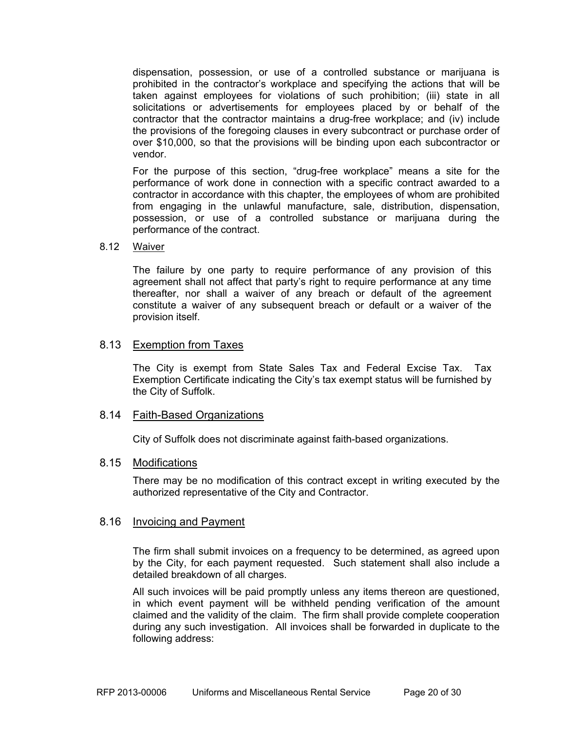dispensation, possession, or use of a controlled substance or marijuana is prohibited in the contractor's workplace and specifying the actions that will be taken against employees for violations of such prohibition; (iii) state in all solicitations or advertisements for employees placed by or behalf of the contractor that the contractor maintains a drug-free workplace; and (iv) include the provisions of the foregoing clauses in every subcontract or purchase order of over \$10,000, so that the provisions will be binding upon each subcontractor or vendor.

 For the purpose of this section, "drug-free workplace" means a site for the performance of work done in connection with a specific contract awarded to a contractor in accordance with this chapter, the employees of whom are prohibited from engaging in the unlawful manufacture, sale, distribution, dispensation, possession, or use of a controlled substance or marijuana during the performance of the contract.

#### 8.12 Waiver

 The failure by one party to require performance of any provision of this agreement shall not affect that party's right to require performance at any time thereafter, nor shall a waiver of any breach or default of the agreement constitute a waiver of any subsequent breach or default or a waiver of the provision itself.

#### 8.13 Exemption from Taxes

The City is exempt from State Sales Tax and Federal Excise Tax. Tax Exemption Certificate indicating the City's tax exempt status will be furnished by the City of Suffolk.

#### 8.14 Faith-Based Organizations

City of Suffolk does not discriminate against faith-based organizations.

#### 8.15 Modifications

 There may be no modification of this contract except in writing executed by the authorized representative of the City and Contractor.

#### 8.16 Invoicing and Payment

 The firm shall submit invoices on a frequency to be determined, as agreed upon by the City, for each payment requested. Such statement shall also include a detailed breakdown of all charges.

 All such invoices will be paid promptly unless any items thereon are questioned, in which event payment will be withheld pending verification of the amount claimed and the validity of the claim. The firm shall provide complete cooperation during any such investigation. All invoices shall be forwarded in duplicate to the following address: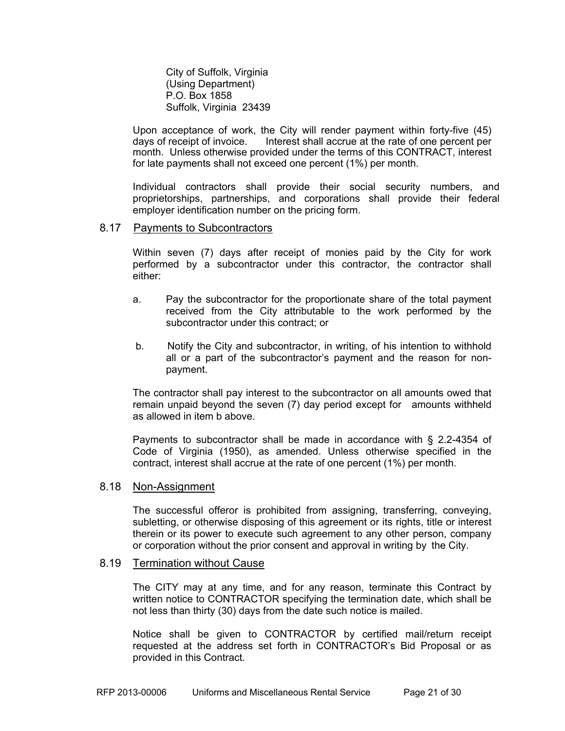City of Suffolk, Virginia (Using Department) P.O. Box 1858 Suffolk, Virginia 23439

Upon acceptance of work, the City will render payment within forty-five (45) days of receipt of invoice. Interest shall accrue at the rate of one percent per month. Unless otherwise provided under the terms of this CONTRACT, interest for late payments shall not exceed one percent (1%) per month.

 Individual contractors shall provide their social security numbers, and proprietorships, partnerships, and corporations shall provide their federal employer identification number on the pricing form.

#### 8.17 Payments to Subcontractors

Within seven (7) days after receipt of monies paid by the City for work performed by a subcontractor under this contractor, the contractor shall either:

- a. Pay the subcontractor for the proportionate share of the total payment received from the City attributable to the work performed by the subcontractor under this contract; or
- b. Notify the City and subcontractor, in writing, of his intention to withhold all or a part of the subcontractor's payment and the reason for nonpayment.

The contractor shall pay interest to the subcontractor on all amounts owed that remain unpaid beyond the seven (7) day period except for amounts withheld as allowed in item b above.

Payments to subcontractor shall be made in accordance with § 2.2-4354 of Code of Virginia (1950), as amended. Unless otherwise specified in the contract, interest shall accrue at the rate of one percent (1%) per month.

#### 8.18 Non-Assignment

 The successful offeror is prohibited from assigning, transferring, conveying, subletting, or otherwise disposing of this agreement or its rights, title or interest therein or its power to execute such agreement to any other person, company or corporation without the prior consent and approval in writing by the City.

#### 8.19 Termination without Cause

The CITY may at any time, and for any reason, terminate this Contract by written notice to CONTRACTOR specifying the termination date, which shall be not less than thirty (30) days from the date such notice is mailed.

Notice shall be given to CONTRACTOR by certified mail/return receipt requested at the address set forth in CONTRACTOR's Bid Proposal or as provided in this Contract.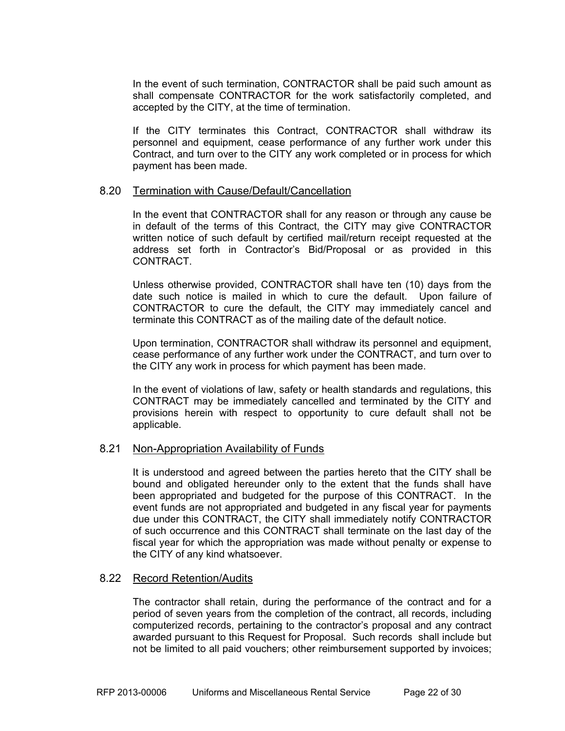In the event of such termination, CONTRACTOR shall be paid such amount as shall compensate CONTRACTOR for the work satisfactorily completed, and accepted by the CITY, at the time of termination.

If the CITY terminates this Contract, CONTRACTOR shall withdraw its personnel and equipment, cease performance of any further work under this Contract, and turn over to the CITY any work completed or in process for which payment has been made.

#### 8.20 Termination with Cause/Default/Cancellation

In the event that CONTRACTOR shall for any reason or through any cause be in default of the terms of this Contract, the CITY may give CONTRACTOR written notice of such default by certified mail/return receipt requested at the address set forth in Contractor's Bid/Proposal or as provided in this **CONTRACT** 

Unless otherwise provided, CONTRACTOR shall have ten (10) days from the date such notice is mailed in which to cure the default. Upon failure of CONTRACTOR to cure the default, the CITY may immediately cancel and terminate this CONTRACT as of the mailing date of the default notice.

Upon termination, CONTRACTOR shall withdraw its personnel and equipment, cease performance of any further work under the CONTRACT, and turn over to the CITY any work in process for which payment has been made.

In the event of violations of law, safety or health standards and regulations, this CONTRACT may be immediately cancelled and terminated by the CITY and provisions herein with respect to opportunity to cure default shall not be applicable.

#### 8.21 Non-Appropriation Availability of Funds

It is understood and agreed between the parties hereto that the CITY shall be bound and obligated hereunder only to the extent that the funds shall have been appropriated and budgeted for the purpose of this CONTRACT. In the event funds are not appropriated and budgeted in any fiscal year for payments due under this CONTRACT, the CITY shall immediately notify CONTRACTOR of such occurrence and this CONTRACT shall terminate on the last day of the fiscal year for which the appropriation was made without penalty or expense to the CITY of any kind whatsoever.

#### 8.22 Record Retention/Audits

 The contractor shall retain, during the performance of the contract and for a period of seven years from the completion of the contract, all records, including computerized records, pertaining to the contractor's proposal and any contract awarded pursuant to this Request for Proposal. Such records shall include but not be limited to all paid vouchers; other reimbursement supported by invoices;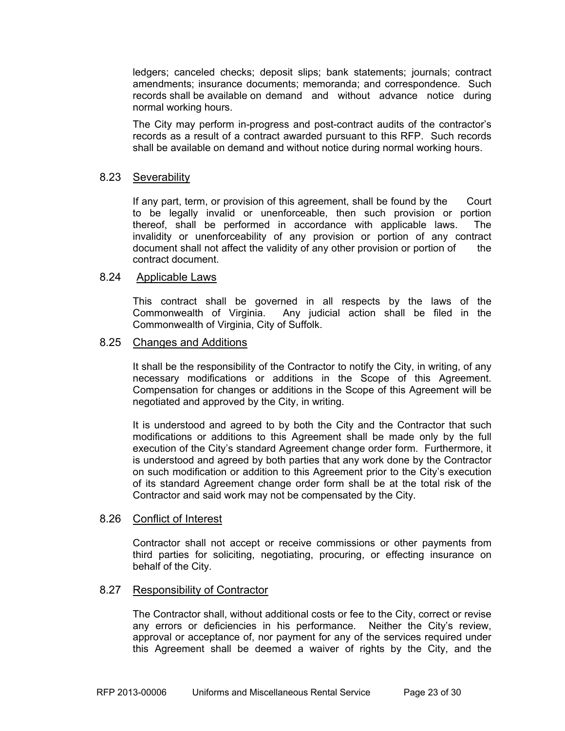ledgers; canceled checks; deposit slips; bank statements; journals; contract amendments; insurance documents; memoranda; and correspondence. Such records shall be available on demand and without advance notice during normal working hours.

 The City may perform in-progress and post-contract audits of the contractor's records as a result of a contract awarded pursuant to this RFP. Such records shall be available on demand and without notice during normal working hours.

#### 8.23 Severability

 If any part, term, or provision of this agreement, shall be found by the Court to be legally invalid or unenforceable, then such provision or portion thereof, shall be performed in accordance with applicable laws. The invalidity or unenforceability of any provision or portion of any contract document shall not affect the validity of any other provision or portion of the contract document.

#### 8.24 Applicable Laws

This contract shall be governed in all respects by the laws of the Commonwealth of Virginia. Any judicial action shall be filed in the Commonwealth of Virginia, City of Suffolk.

#### 8.25 Changes and Additions

It shall be the responsibility of the Contractor to notify the City, in writing, of any necessary modifications or additions in the Scope of this Agreement. Compensation for changes or additions in the Scope of this Agreement will be negotiated and approved by the City, in writing.

 It is understood and agreed to by both the City and the Contractor that such modifications or additions to this Agreement shall be made only by the full execution of the City's standard Agreement change order form. Furthermore, it is understood and agreed by both parties that any work done by the Contractor on such modification or addition to this Agreement prior to the City's execution of its standard Agreement change order form shall be at the total risk of the Contractor and said work may not be compensated by the City.

#### 8.26 Conflict of Interest

Contractor shall not accept or receive commissions or other payments from third parties for soliciting, negotiating, procuring, or effecting insurance on behalf of the City.

#### 8.27 Responsibility of Contractor

The Contractor shall, without additional costs or fee to the City, correct or revise any errors or deficiencies in his performance. Neither the City's review, approval or acceptance of, nor payment for any of the services required under this Agreement shall be deemed a waiver of rights by the City, and the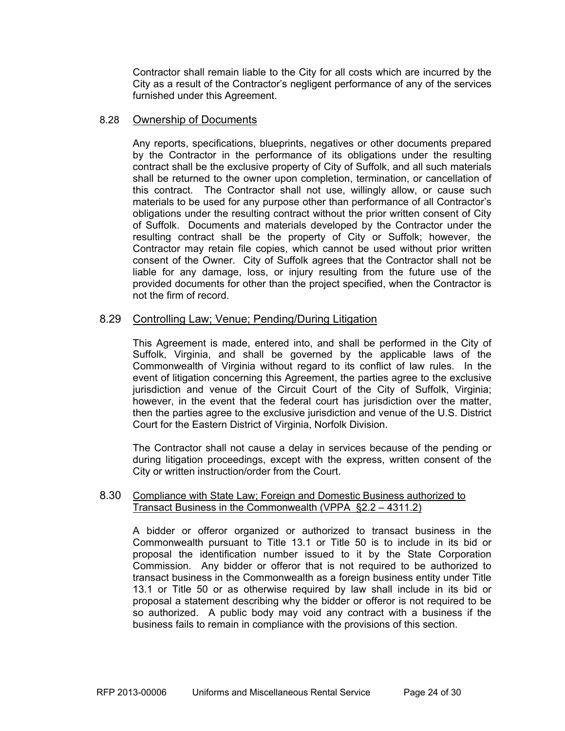Contractor shall remain liable to the City for all costs which are incurred by the City as a result of the Contractor's negligent performance of any of the services furnished under this Agreement.

#### 8.28 Ownership of Documents

Any reports, specifications, blueprints, negatives or other documents prepared by the Contractor in the performance of its obligations under the resulting contract shall be the exclusive property of City of Suffolk, and all such materials shall be returned to the owner upon completion, termination, or cancellation of this contract. The Contractor shall not use, willingly allow, or cause such materials to be used for any purpose other than performance of all Contractor's obligations under the resulting contract without the prior written consent of City of Suffolk. Documents and materials developed by the Contractor under the resulting contract shall be the property of City or Suffolk; however, the Contractor may retain file copies, which cannot be used without prior written consent of the Owner. City of Suffolk agrees that the Contractor shall not be liable for any damage, loss, or injury resulting from the future use of the provided documents for other than the project specified, when the Contractor is not the firm of record.

#### 8.29 Controlling Law; Venue; Pending/During Litigation

This Agreement is made, entered into, and shall be performed in the City of Suffolk, Virginia, and shall be governed by the applicable laws of the Commonwealth of Virginia without regard to its conflict of law rules. In the event of litigation concerning this Agreement, the parties agree to the exclusive jurisdiction and venue of the Circuit Court of the City of Suffolk, Virginia; however, in the event that the federal court has jurisdiction over the matter, then the parties agree to the exclusive jurisdiction and venue of the U.S. District Court for the Eastern District of Virginia, Norfolk Division.

The Contractor shall not cause a delay in services because of the pending or during litigation proceedings, except with the express, written consent of the City or written instruction/order from the Court.

#### 8.30 Compliance with State Law; Foreign and Domestic Business authorized to Transact Business in the Commonwealth (VPPA §2.2 – 4311.2)

 A bidder or offeror organized or authorized to transact business in the Commonwealth pursuant to Title 13.1 or Title 50 is to include in its bid or proposal the identification number issued to it by the State Corporation Commission. Any bidder or offeror that is not required to be authorized to transact business in the Commonwealth as a foreign business entity under Title 13.1 or Title 50 or as otherwise required by law shall include in its bid or proposal a statement describing why the bidder or offeror is not required to be so authorized. A public body may void any contract with a business if the business fails to remain in compliance with the provisions of this section.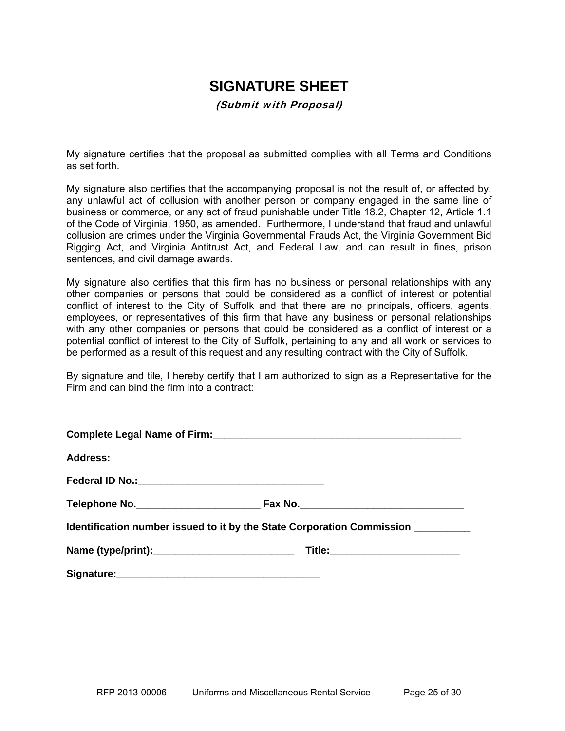# **SIGNATURE SHEET**

(Submit with Proposal)

My signature certifies that the proposal as submitted complies with all Terms and Conditions as set forth.

My signature also certifies that the accompanying proposal is not the result of, or affected by, any unlawful act of collusion with another person or company engaged in the same line of business or commerce, or any act of fraud punishable under Title 18.2, Chapter 12, Article 1.1 of the Code of Virginia, 1950, as amended. Furthermore, I understand that fraud and unlawful collusion are crimes under the Virginia Governmental Frauds Act, the Virginia Government Bid Rigging Act, and Virginia Antitrust Act, and Federal Law, and can result in fines, prison sentences, and civil damage awards.

My signature also certifies that this firm has no business or personal relationships with any other companies or persons that could be considered as a conflict of interest or potential conflict of interest to the City of Suffolk and that there are no principals, officers, agents, employees, or representatives of this firm that have any business or personal relationships with any other companies or persons that could be considered as a conflict of interest or a potential conflict of interest to the City of Suffolk, pertaining to any and all work or services to be performed as a result of this request and any resulting contract with the City of Suffolk.

By signature and tile, I hereby certify that I am authorized to sign as a Representative for the Firm and can bind the firm into a contract:

| Identification number issued to it by the State Corporation Commission _________ |  |  |  |  |  |
|----------------------------------------------------------------------------------|--|--|--|--|--|
|                                                                                  |  |  |  |  |  |
|                                                                                  |  |  |  |  |  |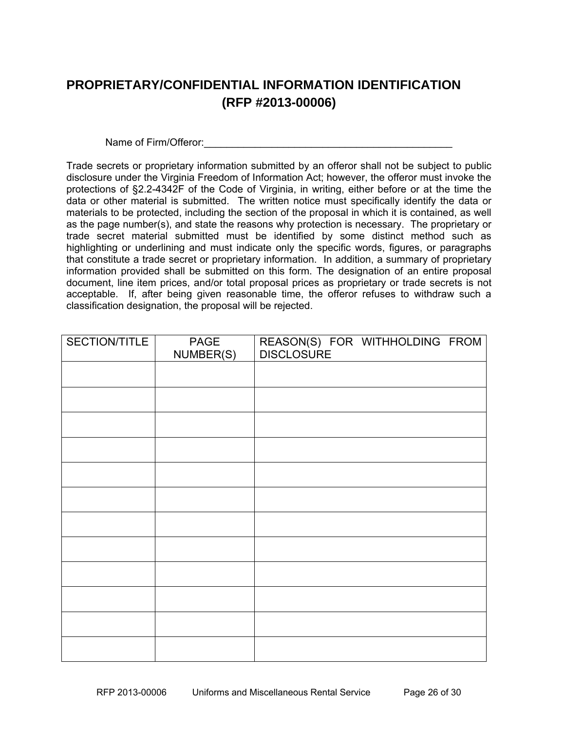## **PROPRIETARY/CONFIDENTIAL INFORMATION IDENTIFICATION (RFP #2013-00006)**

Name of Firm/Offeror:

Trade secrets or proprietary information submitted by an offeror shall not be subject to public disclosure under the Virginia Freedom of Information Act; however, the offeror must invoke the protections of §2.2-4342F of the Code of Virginia, in writing, either before or at the time the data or other material is submitted. The written notice must specifically identify the data or materials to be protected, including the section of the proposal in which it is contained, as well as the page number(s), and state the reasons why protection is necessary. The proprietary or trade secret material submitted must be identified by some distinct method such as highlighting or underlining and must indicate only the specific words, figures, or paragraphs that constitute a trade secret or proprietary information. In addition, a summary of proprietary information provided shall be submitted on this form. The designation of an entire proposal document, line item prices, and/or total proposal prices as proprietary or trade secrets is not acceptable. If, after being given reasonable time, the offeror refuses to withdraw such a classification designation, the proposal will be rejected.

| SECTION/TITLE | PAGE      | REASON(S) FOR WITHHOLDING FROM<br><b>DISCLOSURE</b> |
|---------------|-----------|-----------------------------------------------------|
|               | NUMBER(S) |                                                     |
|               |           |                                                     |
|               |           |                                                     |
|               |           |                                                     |
|               |           |                                                     |
|               |           |                                                     |
|               |           |                                                     |
|               |           |                                                     |
|               |           |                                                     |
|               |           |                                                     |
|               |           |                                                     |
|               |           |                                                     |
|               |           |                                                     |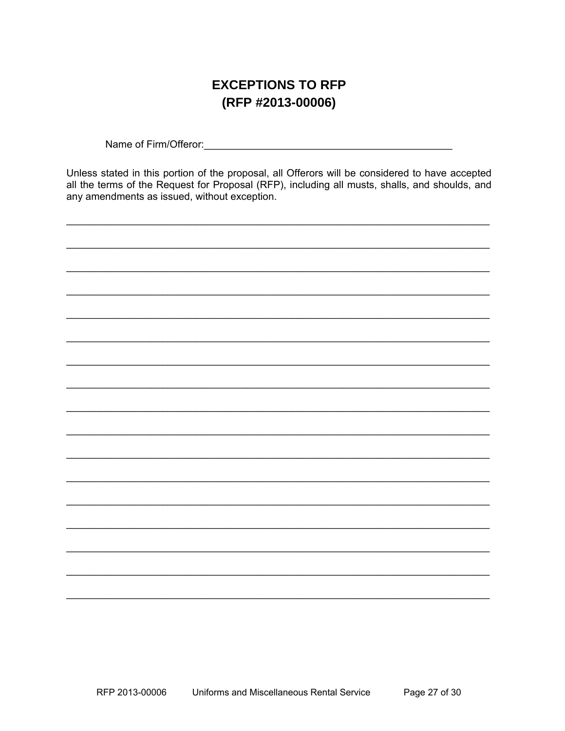## **EXCEPTIONS TO RFP** (RFP #2013-00006)

Name of Firm/Offeror:<br>
Sales Contract Contract Contract Contract Contract Contract Contract Contract Contract Contract Contract Contract Contract Contract Contract Contract Contract Contract Contract Contract Contract Cont

Unless stated in this portion of the proposal, all Offerors will be considered to have accepted all the terms of the Request for Proposal (RFP), including all musts, shalls, and shoulds, and any amendments as issued, without exception.

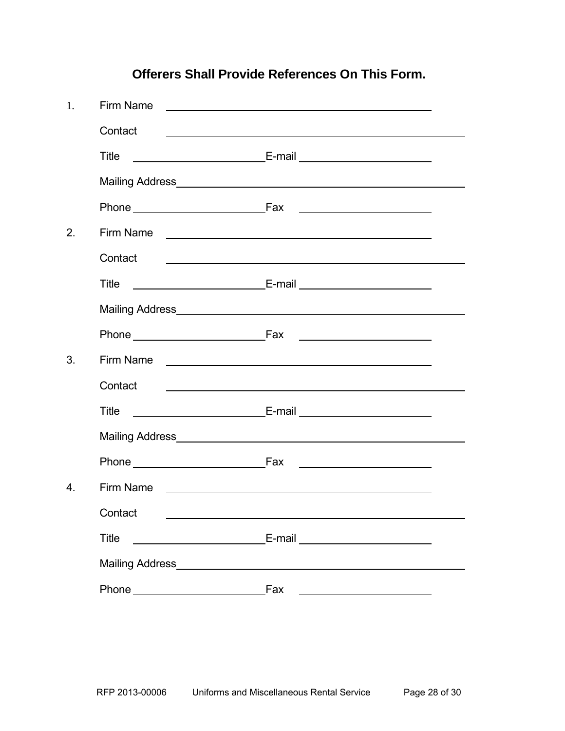# 1. Firm Name Contact Title **E-mail** E-mail **E-mail**  Mailing Address Phone Fax Fax 2. Firm Name **Contact** Title E-mail E-mail Mailing Address **Mailing** Address **Mailing** Address **Mailing** Address **Mailing** Address **Mailing** Address **Mailing** Address **Mailing** Address **Mailing** Address **Mailing** Address **Mailing** Address **Mailing** Address **Mailing** Phone Fax <u> 1990 - Johann Barbara, martin a</u> 3. Firm Name **Contact**  Title E-mail Mailing Address<br>
<u>Landon Mailing</u> Phone <u>Constantine Fax</u> Fax **Fax Fax Fax Fax Fax Fax Fax Fax Fax Fax Fax Fax Fax Fax Fax Fax Fax Fax Fax Fax Fax Fax Fax Fax Fax Fax Fax Fax Fax Fax Fax Fax F** 4. Firm Name Contact Title E-mail Mailing Address Phone **Fax**

## **Offerers Shall Provide References On This Form.**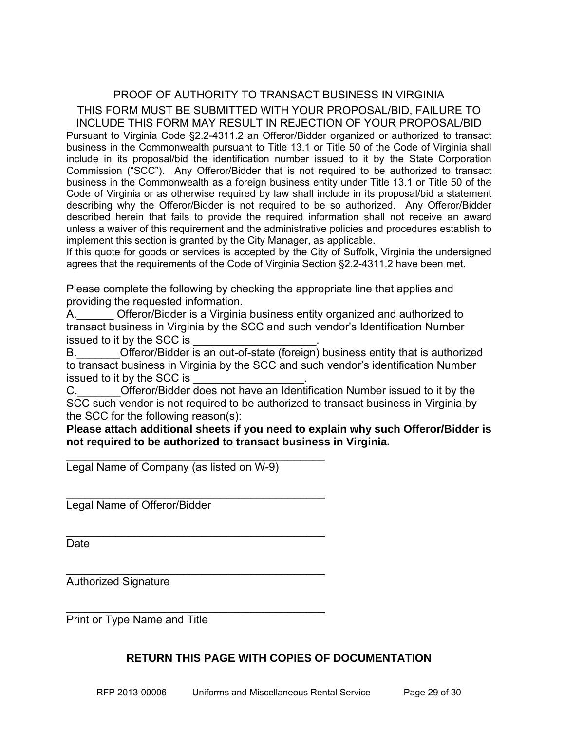## PROOF OF AUTHORITY TO TRANSACT BUSINESS IN VIRGINIA THIS FORM MUST BE SUBMITTED WITH YOUR PROPOSAL/BID, FAILURE TO

INCLUDE THIS FORM MAY RESULT IN REJECTION OF YOUR PROPOSAL/BID Pursuant to Virginia Code §2.2-4311.2 an Offeror/Bidder organized or authorized to transact business in the Commonwealth pursuant to Title 13.1 or Title 50 of the Code of Virginia shall include in its proposal/bid the identification number issued to it by the State Corporation Commission ("SCC"). Any Offeror/Bidder that is not required to be authorized to transact business in the Commonwealth as a foreign business entity under Title 13.1 or Title 50 of the Code of Virginia or as otherwise required by law shall include in its proposal/bid a statement describing why the Offeror/Bidder is not required to be so authorized. Any Offeror/Bidder described herein that fails to provide the required information shall not receive an award unless a waiver of this requirement and the administrative policies and procedures establish to implement this section is granted by the City Manager, as applicable.

If this quote for goods or services is accepted by the City of Suffolk, Virginia the undersigned agrees that the requirements of the Code of Virginia Section §2.2-4311.2 have been met.

Please complete the following by checking the appropriate line that applies and providing the requested information.

A.\_\_\_\_\_\_ Offeror/Bidder is a Virginia business entity organized and authorized to transact business in Virginia by the SCC and such vendor's Identification Number issued to it by the SCC is

B. Cfferor/Bidder is an out-of-state (foreign) business entity that is authorized to transact business in Virginia by the SCC and such vendor's identification Number issued to it by the SCC is

C. C. Cital Offeror/Bidder does not have an Identification Number issued to it by the SCC such vendor is not required to be authorized to transact business in Virginia by the SCC for the following reason(s):

**Please attach additional sheets if you need to explain why such Offeror/Bidder is not required to be authorized to transact business in Virginia.** 

Legal Name of Company (as listed on W-9)

 $\mathcal{L}_\text{max}$  , we can also assume that the contract of  $\mathcal{L}_\text{max}$ 

\_\_\_\_\_\_\_\_\_\_\_\_\_\_\_\_\_\_\_\_\_\_\_\_\_\_\_\_\_\_\_\_\_\_\_\_\_\_\_\_\_\_

 $\mathcal{L}_\text{max}$  , we can also assume that the contract of  $\mathcal{L}_\text{max}$ 

\_\_\_\_\_\_\_\_\_\_\_\_\_\_\_\_\_\_\_\_\_\_\_\_\_\_\_\_\_\_\_\_\_\_\_\_\_\_\_\_\_\_

\_\_\_\_\_\_\_\_\_\_\_\_\_\_\_\_\_\_\_\_\_\_\_\_\_\_\_\_\_\_\_\_\_\_\_\_\_\_\_\_\_\_

Legal Name of Offeror/Bidder

Date

Authorized Signature

Print or Type Name and Title

### **RETURN THIS PAGE WITH COPIES OF DOCUMENTATION**